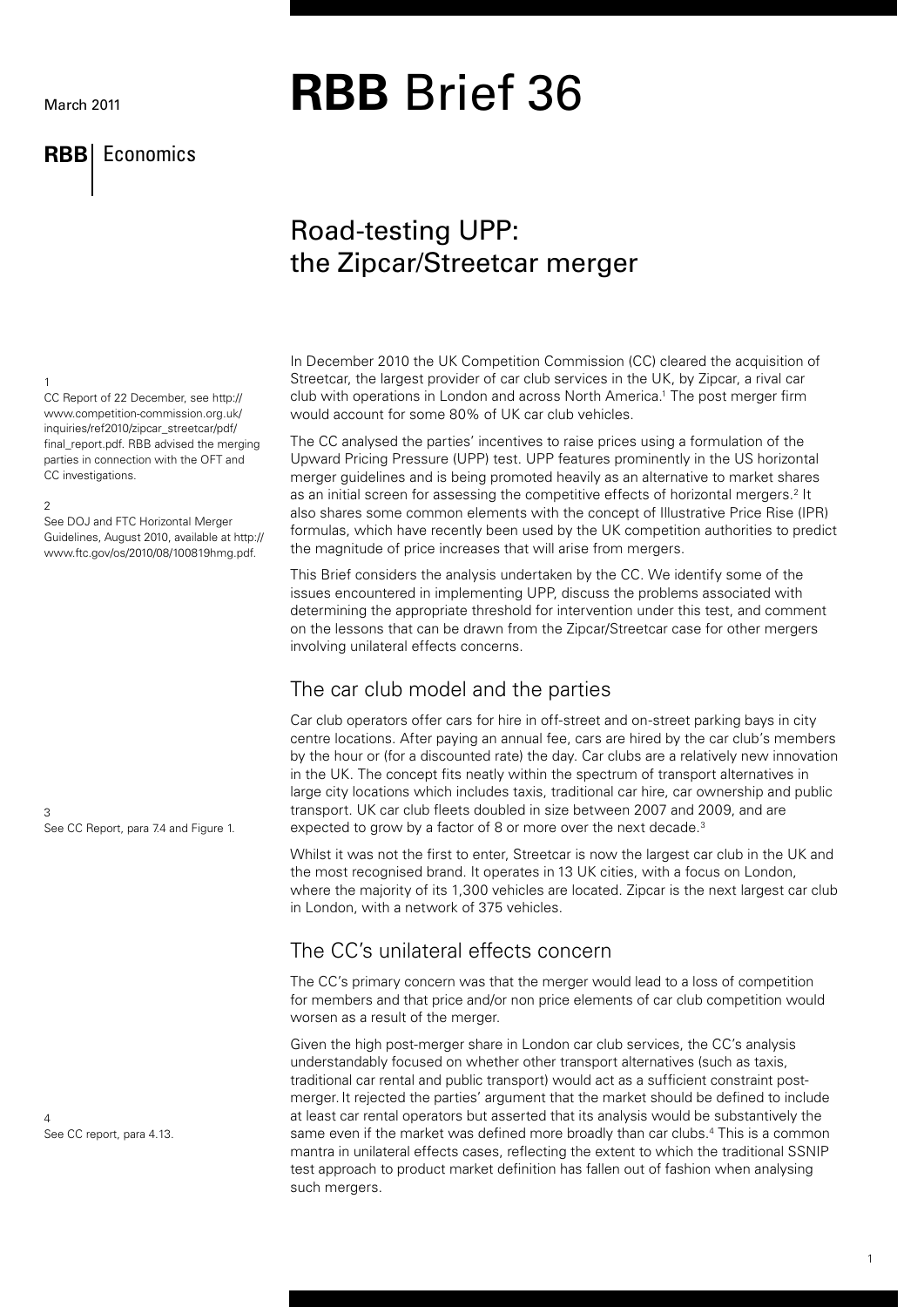#### March 2011

## **RBB** Economics

# **RBB** Brief 36

## Road-testing UPP: the Zipcar/Streetcar merger

#### 1

CC Report of 22 December, see http:// www.competition-commission.org.uk/ inquiries/ref2010/zipcar\_streetcar/pdf/ final\_report.pdf. RBB advised the merging parties in connection with the OFT and CC investigations.

#### 2

See DOJ and FTC Horizontal Merger Guidelines, August 2010, available at http:// www.ftc.gov/os/2010/08/100819hmg.pdf.

3 See CC Report, para 7.4 and Figure 1.

4 See CC report, para 4.13. In December 2010 the UK Competition Commission (CC) cleared the acquisition of Streetcar, the largest provider of car club services in the UK, by Zipcar, a rival car club with operations in London and across North America.1 The post merger firm would account for some 80% of UK car club vehicles.

The CC analysed the parties' incentives to raise prices using a formulation of the Upward Pricing Pressure (UPP) test. UPP features prominently in the US horizontal merger guidelines and is being promoted heavily as an alternative to market shares as an initial screen for assessing the competitive effects of horizontal mergers.<sup>2</sup> It also shares some common elements with the concept of Illustrative Price Rise (IPR) formulas, which have recently been used by the UK competition authorities to predict the magnitude of price increases that will arise from mergers.

This Brief considers the analysis undertaken by the CC. We identify some of the issues encountered in implementing UPP, discuss the problems associated with determining the appropriate threshold for intervention under this test, and comment on the lessons that can be drawn from the Zipcar/Streetcar case for other mergers involving unilateral effects concerns.

## The car club model and the parties

Car club operators offer cars for hire in off-street and on-street parking bays in city centre locations. After paying an annual fee, cars are hired by the car club's members by the hour or (for a discounted rate) the day. Car clubs are a relatively new innovation in the UK. The concept fits neatly within the spectrum of transport alternatives in large city locations which includes taxis, traditional car hire, car ownership and public transport. UK car club fleets doubled in size between 2007 and 2009, and are expected to grow by a factor of 8 or more over the next decade.<sup>3</sup>

Whilst it was not the first to enter, Streetcar is now the largest car club in the UK and the most recognised brand. It operates in 13 UK cities, with a focus on London, where the majority of its 1,300 vehicles are located. Zipcar is the next largest car club in London, with a network of 375 vehicles.

## The CC's unilateral effects concern

The CC's primary concern was that the merger would lead to a loss of competition for members and that price and/or non price elements of car club competition would worsen as a result of the merger.

Given the high post-merger share in London car club services, the CC's analysis understandably focused on whether other transport alternatives (such as taxis, traditional car rental and public transport) would act as a sufficient constraint postmerger. It rejected the parties' argument that the market should be defined to include at least car rental operators but asserted that its analysis would be substantively the same even if the market was defined more broadly than car clubs.<sup>4</sup> This is a common mantra in unilateral effects cases, reflecting the extent to which the traditional SSNIP test approach to product market definition has fallen out of fashion when analysing such mergers.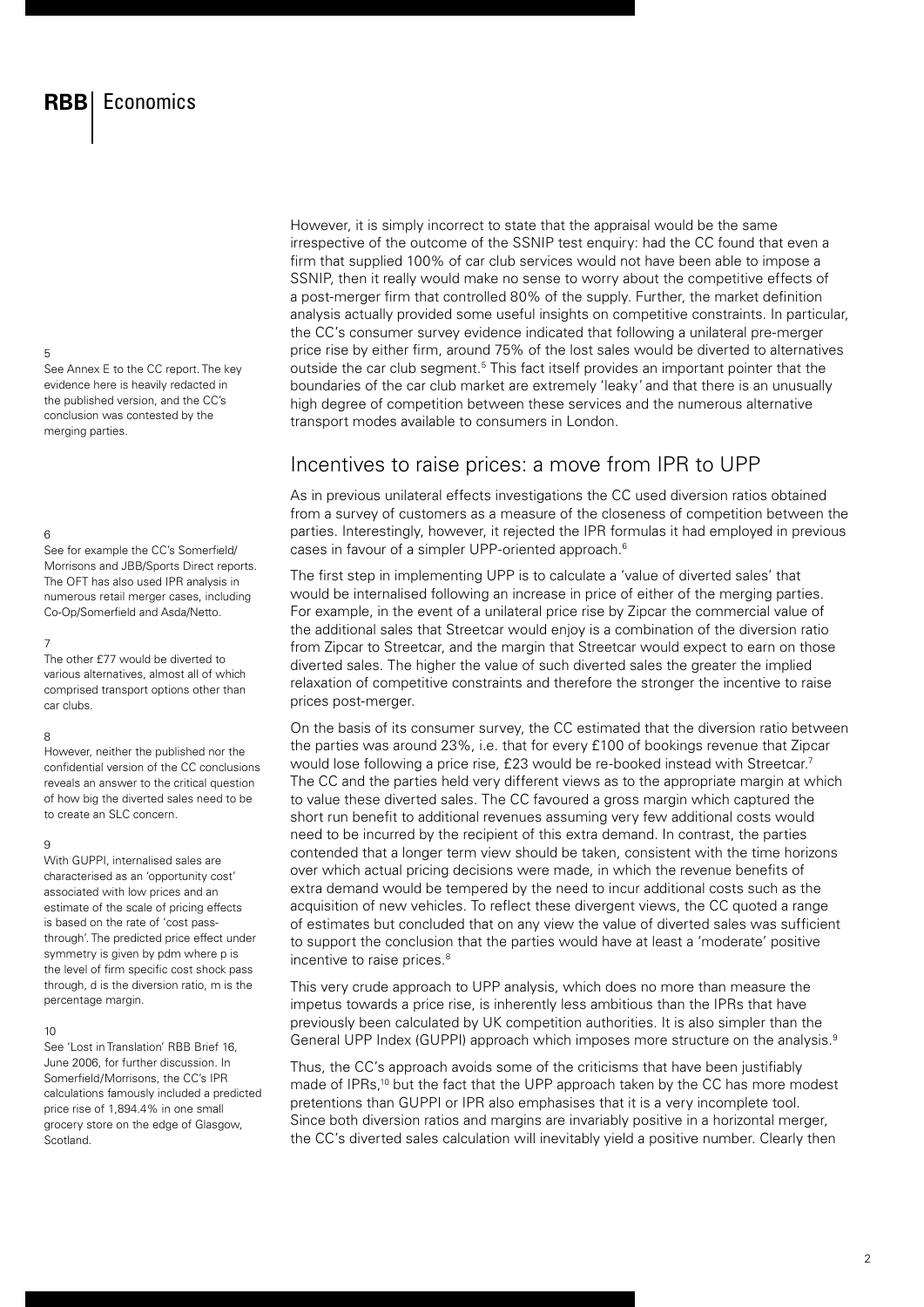5

See Annex E to the CC report. The key evidence here is heavily redacted in the published version, and the CC's conclusion was contested by the merging parties.

#### 6

See for example the CC's Somerfield/ Morrisons and JBB/Sports Direct reports. The OFT has also used IPR analysis in numerous retail merger cases, including Co-Op/Somerfield and Asda/Netto.

#### 7

The other £77 would be diverted to various alternatives, almost all of which comprised transport options other than car clubs.

#### 8

However, neither the published nor the confidential version of the CC conclusions reveals an answer to the critical question of how big the diverted sales need to be to create an SLC concern.

#### 9

With GUPPI, internalised sales are characterised as an 'opportunity cost' associated with low prices and an estimate of the scale of pricing effects is based on the rate of 'cost passthrough'. The predicted price effect under symmetry is given by pdm where p is the level of firm specific cost shock pass through, d is the diversion ratio, m is the percentage margin.

#### 10

See 'Lost in Translation' RBB Brief 16, June 2006, for further discussion. In Somerfield/Morrisons, the CC's IPR calculations famously included a predicted price rise of 1,894.4% in one small grocery store on the edge of Glasgow, Scotland.

However, it is simply incorrect to state that the appraisal would be the same irrespective of the outcome of the SSNIP test enquiry: had the CC found that even a firm that supplied 100% of car club services would not have been able to impose a SSNIP, then it really would make no sense to worry about the competitive effects of a post-merger firm that controlled 80% of the supply. Further, the market definition analysis actually provided some useful insights on competitive constraints. In particular, the CC's consumer survey evidence indicated that following a unilateral pre-merger price rise by either firm, around 75% of the lost sales would be diverted to alternatives outside the car club segment.<sup>5</sup> This fact itself provides an important pointer that the boundaries of the car club market are extremely 'leaky' and that there is an unusually high degree of competition between these services and the numerous alternative transport modes available to consumers in London.

### Incentives to raise prices: a move from IPR to UPP

As in previous unilateral effects investigations the CC used diversion ratios obtained from a survey of customers as a measure of the closeness of competition between the parties. Interestingly, however, it rejected the IPR formulas it had employed in previous cases in favour of a simpler UPP-oriented approach.<sup>6</sup>

The first step in implementing UPP is to calculate a 'value of diverted sales' that would be internalised following an increase in price of either of the merging parties. For example, in the event of a unilateral price rise by Zipcar the commercial value of the additional sales that Streetcar would enjoy is a combination of the diversion ratio from Zipcar to Streetcar, and the margin that Streetcar would expect to earn on those diverted sales. The higher the value of such diverted sales the greater the implied relaxation of competitive constraints and therefore the stronger the incentive to raise prices post-merger.

On the basis of its consumer survey, the CC estimated that the diversion ratio between the parties was around 23%, i.e. that for every £100 of bookings revenue that Zipcar would lose following a price rise, £23 would be re-booked instead with Streetcar.<sup>7</sup> The CC and the parties held very different views as to the appropriate margin at which to value these diverted sales. The CC favoured a gross margin which captured the short run benefit to additional revenues assuming very few additional costs would need to be incurred by the recipient of this extra demand. In contrast, the parties contended that a longer term view should be taken, consistent with the time horizons over which actual pricing decisions were made, in which the revenue benefits of extra demand would be tempered by the need to incur additional costs such as the acquisition of new vehicles. To reflect these divergent views, the CC quoted a range of estimates but concluded that on any view the value of diverted sales was sufficient to support the conclusion that the parties would have at least a 'moderate' positive incentive to raise prices.<sup>8</sup>

This very crude approach to UPP analysis, which does no more than measure the impetus towards a price rise, is inherently less ambitious than the IPRs that have previously been calculated by UK competition authorities. It is also simpler than the General UPP Index (GUPPI) approach which imposes more structure on the analysis.<sup>9</sup>

Thus, the CC's approach avoids some of the criticisms that have been justifiably made of IPRs,<sup>10</sup> but the fact that the UPP approach taken by the CC has more modest pretentions than GUPPI or IPR also emphasises that it is a very incomplete tool. Since both diversion ratios and margins are invariably positive in a horizontal merger, the CC's diverted sales calculation will inevitably yield a positive number. Clearly then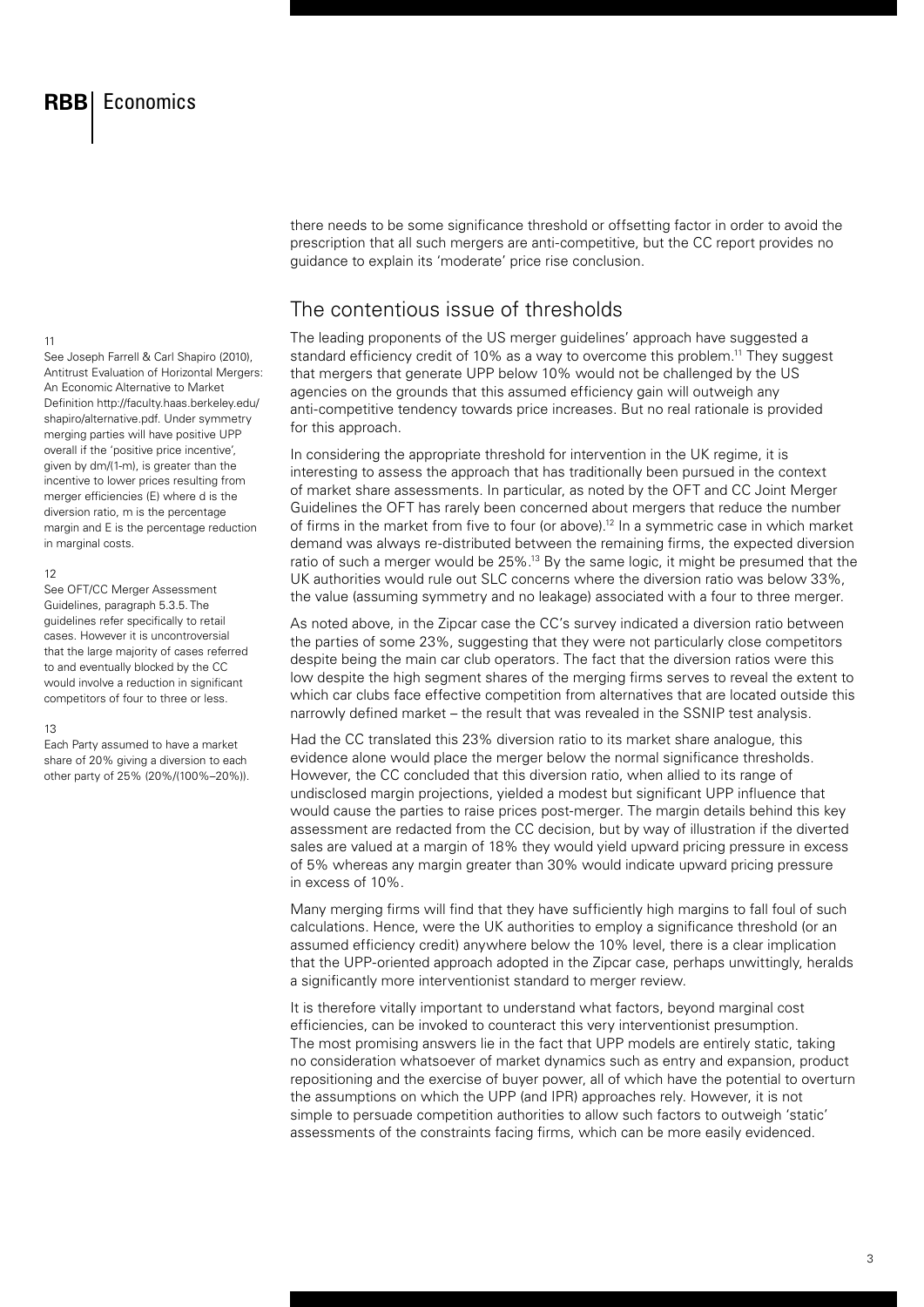11

See Joseph Farrell & Carl Shapiro (2010), Antitrust Evaluation of Horizontal Mergers: An Economic Alternative to Market Definition http://faculty.haas.berkeley.edu/ shapiro/alternative.pdf. Under symmetry merging parties will have positive UPP overall if the 'positive price incentive', given by dm/(1-m), is greater than the incentive to lower prices resulting from merger efficiencies (E) where d is the diversion ratio, m is the percentage margin and E is the percentage reduction in marginal costs.

#### 12

See OFT/CC Merger Assessment Guidelines, paragraph 5.3.5. The guidelines refer specifically to retail cases. However it is uncontroversial that the large majority of cases referred to and eventually blocked by the CC would involve a reduction in significant competitors of four to three or less.

#### 13

Each Party assumed to have a market share of 20% giving a diversion to each other party of 25% (20%/(100%–20%)). there needs to be some significance threshold or offsetting factor in order to avoid the prescription that all such mergers are anti-competitive, but the CC report provides no guidance to explain its 'moderate' price rise conclusion.

## The contentious issue of thresholds

The leading proponents of the US merger guidelines' approach have suggested a standard efficiency credit of 10% as a way to overcome this problem.11 They suggest that mergers that generate UPP below 10% would not be challenged by the US agencies on the grounds that this assumed efficiency gain will outweigh any anti-competitive tendency towards price increases. But no real rationale is provided for this approach.

In considering the appropriate threshold for intervention in the UK regime, it is interesting to assess the approach that has traditionally been pursued in the context of market share assessments. In particular, as noted by the OFT and CC Joint Merger Guidelines the OFT has rarely been concerned about mergers that reduce the number of firms in the market from five to four (or above).12 In a symmetric case in which market demand was always re-distributed between the remaining firms, the expected diversion ratio of such a merger would be 25%.13 By the same logic, it might be presumed that the UK authorities would rule out SLC concerns where the diversion ratio was below 33%, the value (assuming symmetry and no leakage) associated with a four to three merger.

As noted above, in the Zipcar case the CC's survey indicated a diversion ratio between the parties of some 23%, suggesting that they were not particularly close competitors despite being the main car club operators. The fact that the diversion ratios were this low despite the high segment shares of the merging firms serves to reveal the extent to which car clubs face effective competition from alternatives that are located outside this narrowly defined market – the result that was revealed in the SSNIP test analysis.

Had the CC translated this 23% diversion ratio to its market share analogue, this evidence alone would place the merger below the normal significance thresholds. However, the CC concluded that this diversion ratio, when allied to its range of undisclosed margin projections, yielded a modest but significant UPP influence that would cause the parties to raise prices post-merger. The margin details behind this key assessment are redacted from the CC decision, but by way of illustration if the diverted sales are valued at a margin of 18% they would yield upward pricing pressure in excess of 5% whereas any margin greater than 30% would indicate upward pricing pressure in excess of 10%.

Many merging firms will find that they have sufficiently high margins to fall foul of such calculations. Hence, were the UK authorities to employ a significance threshold (or an assumed efficiency credit) anywhere below the 10% level, there is a clear implication that the UPP-oriented approach adopted in the Zipcar case, perhaps unwittingly, heralds a significantly more interventionist standard to merger review.

It is therefore vitally important to understand what factors, beyond marginal cost efficiencies, can be invoked to counteract this very interventionist presumption. The most promising answers lie in the fact that UPP models are entirely static, taking no consideration whatsoever of market dynamics such as entry and expansion, product repositioning and the exercise of buyer power, all of which have the potential to overturn the assumptions on which the UPP (and IPR) approaches rely. However, it is not simple to persuade competition authorities to allow such factors to outweigh 'static' assessments of the constraints facing firms, which can be more easily evidenced.